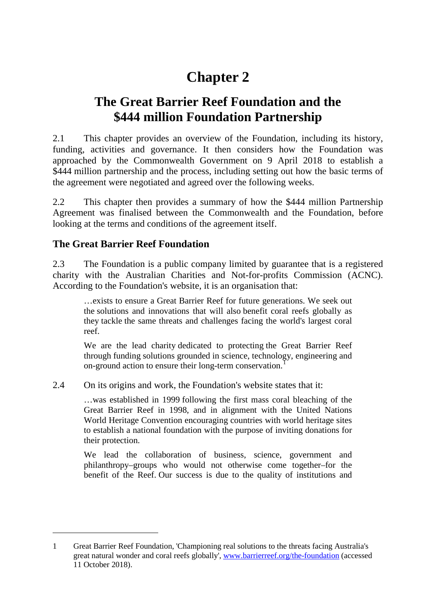# **Chapter 2**

## **The Great Barrier Reef Foundation and the \$444 million Foundation Partnership**

2.1 This chapter provides an overview of the Foundation, including its history, funding, activities and governance. It then considers how the Foundation was approached by the Commonwealth Government on 9 April 2018 to establish a \$444 million partnership and the process, including setting out how the basic terms of the agreement were negotiated and agreed over the following weeks.

2.2 This chapter then provides a summary of how the \$444 million Partnership Agreement was finalised between the Commonwealth and the Foundation, before looking at the terms and conditions of the agreement itself.

## **The Great Barrier Reef Foundation**

-

2.3 The Foundation is a public company limited by guarantee that is a registered charity with the Australian Charities and Not-for-profits Commission (ACNC). According to the Foundation's website, it is an organisation that:

…exists to ensure a Great Barrier Reef for future generations. We seek out the solutions and innovations that will also benefit coral reefs globally as they tackle the same threats and challenges facing the world's largest coral reef.

We are the lead charity dedicated to protecting the Great Barrier Reef through funding solutions grounded in science, technology, engineering and on-ground action to ensure their long-term conservation.[1](#page-0-0)

2.4 On its origins and work, the Foundation's website states that it:

…was established in 1999 following the first mass coral bleaching of the Great Barrier Reef in 1998, and in alignment with the United Nations World Heritage Convention encouraging countries with world heritage sites to establish a national foundation with the purpose of inviting donations for their protection.

We lead the collaboration of business, science, government and philanthropy–groups who would not otherwise come together–for the benefit of the Reef. Our success is due to the quality of institutions and

<span id="page-0-0"></span><sup>1</sup> Great Barrier Reef Foundation, 'Championing real solutions to the threats facing Australia's great natural wonder and coral reefs globally', [www.barrierreef.org/the-foundation](http://www.barrierreef.org/the-foundation) (accessed 11 October 2018).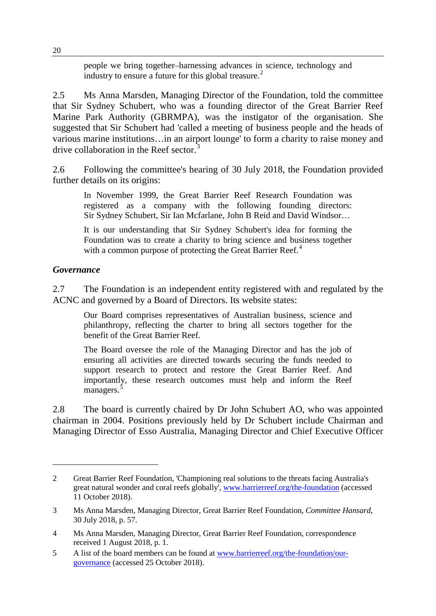people we bring together–harnessing advances in science, technology and industry to ensure a future for this global treasure.<sup>[2](#page-1-0)</sup>

2.5 Ms Anna Marsden, Managing Director of the Foundation, told the committee that Sir Sydney Schubert, who was a founding director of the Great Barrier Reef Marine Park Authority (GBRMPA), was the instigator of the organisation. She suggested that Sir Schubert had 'called a meeting of business people and the heads of various marine institutions…in an airport lounge' to form a charity to raise money and drive collaboration in the Reef sector.<sup>[3](#page-1-1)</sup>

2.6 Following the committee's hearing of 30 July 2018, the Foundation provided further details on its origins:

In November 1999, the Great Barrier Reef Research Foundation was registered as a company with the following founding directors: Sir Sydney Schubert, Sir Ian Mcfarlane, John B Reid and David Windsor…

It is our understanding that Sir Sydney Schubert's idea for forming the Foundation was to create a charity to bring science and business together with a common purpose of protecting the Great Barrier Reef.<sup>[4](#page-1-2)</sup>

#### *Governance*

-

2.7 The Foundation is an independent entity registered with and regulated by the ACNC and governed by a Board of Directors. Its website states:

Our Board comprises representatives of Australian business, science and philanthropy, reflecting the charter to bring all sectors together for the benefit of the Great Barrier Reef.

The Board oversee the role of the Managing Director and has the job of ensuring all activities are directed towards securing the funds needed to support research to protect and restore the Great Barrier Reef. And importantly, these research outcomes must help and inform the Reef managers.<sup>[5](#page-1-3)</sup>

2.8 The board is currently chaired by Dr John Schubert AO, who was appointed chairman in 2004. Positions previously held by Dr Schubert include Chairman and Managing Director of Esso Australia, Managing Director and Chief Executive Officer

<span id="page-1-0"></span><sup>2</sup> Great Barrier Reef Foundation, 'Championing real solutions to the threats facing Australia's great natural wonder and coral reefs globally', [www.barrierreef.org/the-foundation](http://www.barrierreef.org/the-foundation) (accessed 11 October 2018).

<span id="page-1-1"></span><sup>3</sup> Ms Anna Marsden, Managing Director, Great Barrier Reef Foundation, *Committee Hansard*, 30 July 2018, p. 57.

<span id="page-1-2"></span><sup>4</sup> Ms Anna Marsden, Managing Director, Great Barrier Reef Foundation, correspondence received 1 August 2018, p. 1.

<span id="page-1-3"></span><sup>5</sup> A list of the board members can be found at [www.barrierreef.org/the-foundation/our](http://www.barrierreef.org/the-foundation/our-governance)[governance](http://www.barrierreef.org/the-foundation/our-governance) (accessed 25 October 2018).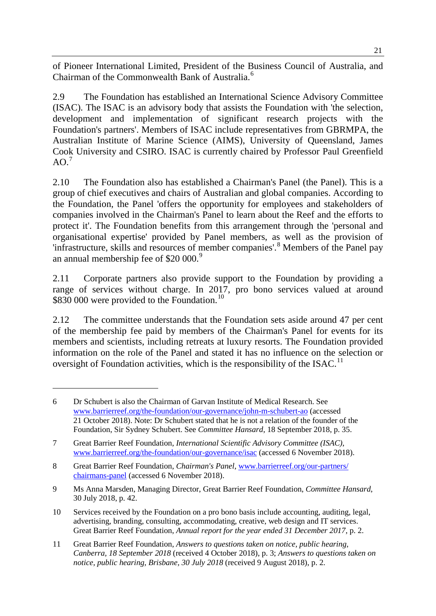of Pioneer International Limited, President of the Business Council of Australia, and Chairman of the Commonwealth Bank of Australia.<sup>[6](#page-2-0)</sup>

2.9 The Foundation has established an International Science Advisory Committee (ISAC). The ISAC is an advisory body that assists the Foundation with 'the selection, development and implementation of significant research projects with the Foundation's partners'. Members of ISAC include representatives from GBRMPA, the Australian Institute of Marine Science (AIMS), University of Queensland, James Cook University and CSIRO. ISAC is currently chaired by Professor Paul Greenfield  $AO.<sup>7</sup>$  $AO.<sup>7</sup>$  $AO.<sup>7</sup>$ 

2.10 The Foundation also has established a Chairman's Panel (the Panel). This is a group of chief executives and chairs of Australian and global companies. According to the Foundation, the Panel 'offers the opportunity for employees and stakeholders of companies involved in the Chairman's Panel to learn about the Reef and the efforts to protect it'. The Foundation benefits from this arrangement through the 'personal and organisational expertise' provided by Panel members, as well as the provision of 'infrastructure, skills and resources of member companies'.[8](#page-2-2) Members of the Panel pay an annual membership fee of  $$20,000$ .<sup>[9](#page-2-3)</sup>

2.11 Corporate partners also provide support to the Foundation by providing a range of services without charge. In 2017, pro bono services valued at around \$830 000 were provided to the Foundation.<sup>[10](#page-2-4)</sup>

2.12 The committee understands that the Foundation sets aside around 47 per cent of the membership fee paid by members of the Chairman's Panel for events for its members and scientists, including retreats at luxury resorts. The Foundation provided information on the role of the Panel and stated it has no influence on the selection or oversight of Foundation activities, which is the responsibility of the ISAC.<sup>[11](#page-2-5)</sup>

<span id="page-2-0"></span><sup>6</sup> Dr Schubert is also the Chairman of Garvan Institute of Medical Research. See [www.barrierreef.org/the-foundation/our-governance/john-m-schubert-ao](http://www.barrierreef.org/the-foundation/our-governance/john-m-schubert-ao) (accessed 21 October 2018). Note: Dr Schubert stated that he is not a relation of the founder of the Foundation, Sir Sydney Schubert. See *Committee Hansard*, 18 September 2018, p. 35.

<span id="page-2-1"></span><sup>7</sup> Great Barrier Reef Foundation, *International Scientific Advisory Committee (ISAC)*, [www.barrierreef.org/the-foundation/our-governance/isac](http://www.barrierreef.org/the-foundation/our-governance/isac) (accessed 6 November 2018).

<span id="page-2-2"></span><sup>8</sup> Great Barrier Reef Foundation, *Chairman's Panel*[, www.barrierreef.org/our-partners/](http://www.barrierreef.org/our-partners/chairmans-panel) [chairmans-panel](http://www.barrierreef.org/our-partners/chairmans-panel) (accessed 6 November 2018).

<span id="page-2-3"></span><sup>9</sup> Ms Anna Marsden, Managing Director, Great Barrier Reef Foundation, *Committee Hansard*, 30 July 2018, p. 42.

<span id="page-2-4"></span><sup>10</sup> Services received by the Foundation on a pro bono basis include accounting, auditing, legal, advertising, branding, consulting, accommodating, creative, web design and IT services. Great Barrier Reef Foundation, *Annual report for the year ended 31 December 2017*, p. 2.

<span id="page-2-5"></span><sup>11</sup> Great Barrier Reef Foundation, *Answers to questions taken on notice, public hearing, Canberra, 18 September 2018* (received 4 October 2018), p. 3; *Answers to questions taken on notice, public hearing, Brisbane, 30 July 2018* (received 9 August 2018), p. 2.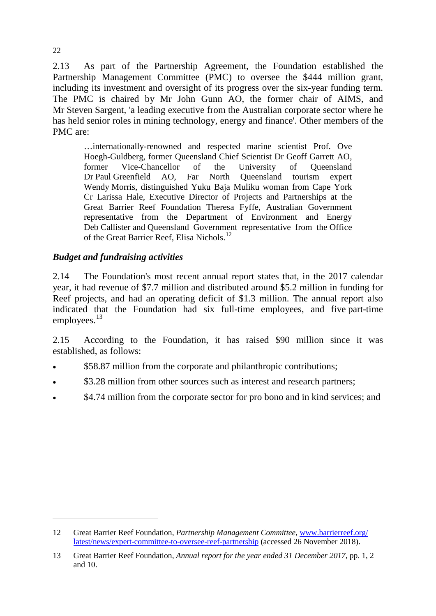2.13 As part of the Partnership Agreement, the Foundation established the Partnership Management Committee (PMC) to oversee the \$444 million grant, including its investment and oversight of its progress over the six-year funding term. The PMC is chaired by Mr John Gunn AO, the former chair of AIMS, and Mr Steven Sargent, 'a leading executive from the Australian corporate sector where he has held senior roles in mining technology, energy and finance'. Other members of the PMC are:

…internationally-renowned and respected marine scientist Prof. Ove Hoegh-Guldberg, former Queensland Chief Scientist Dr Geoff Garrett AO, former Vice-Chancellor of the University of Queensland Dr Paul Greenfield AO, Far North Queensland tourism expert Wendy Morris, distinguished Yuku Baja Muliku woman from Cape York Cr Larissa Hale, Executive Director of Projects and Partnerships at the Great Barrier Reef Foundation Theresa Fyffe, Australian Government representative from the Department of Environment and Energy Deb Callister and Queensland Government representative from the Office of the Great Barrier Reef, Elisa Nichols.<sup>[12](#page-3-0)</sup>

### *Budget and fundraising activities*

2.14 The Foundation's most recent annual report states that, in the 2017 calendar year, it had revenue of \$7.7 million and distributed around \$5.2 million in funding for Reef projects, and had an operating deficit of \$1.3 million. The annual report also indicated that the Foundation had six full-time employees, and five part-time employees. $^{13}$  $^{13}$  $^{13}$ 

2.15 According to the Foundation, it has raised \$90 million since it was established, as follows:

- \$58.87 million from the corporate and philanthropic contributions;
- \$3.28 million from other sources such as interest and research partners;
- \$4.74 million from the corporate sector for pro bono and in kind services; and

<span id="page-3-0"></span><sup>12</sup> Great Barrier Reef Foundation, *Partnership Management Committee*, [www.barrierreef.org/](http://www.barrierreef.org/latest/news/expert-committee-to-oversee-reef-partnership) [latest/news/expert-committee-to-oversee-reef-partnership](http://www.barrierreef.org/latest/news/expert-committee-to-oversee-reef-partnership) (accessed 26 November 2018).

<span id="page-3-1"></span><sup>13</sup> Great Barrier Reef Foundation, *Annual report for the year ended 31 December 2017*, pp. 1, 2 and 10.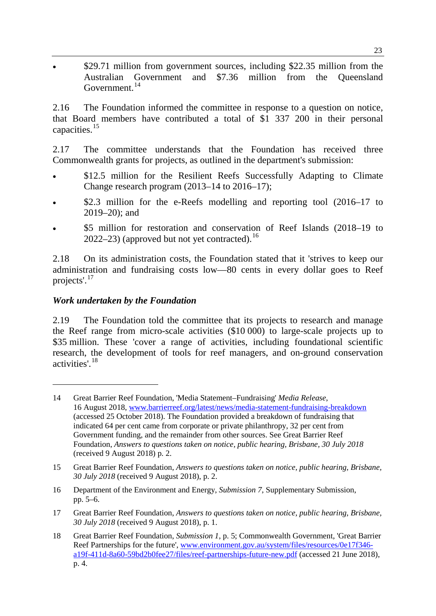\$29.71 million from government sources, including \$22.35 million from the Australian Government and \$7.36 million from the Queensland Government.<sup>[14](#page-4-0)</sup>

2.16 The Foundation informed the committee in response to a question on notice, that Board members have contributed a total of \$1 337 200 in their personal capacities.<sup>[15](#page-4-1)</sup>

2.17 The committee understands that the Foundation has received three Commonwealth grants for projects, as outlined in the department's submission:

- \$12.5 million for the Resilient Reefs Successfully Adapting to Climate Change research program (2013–14 to 2016–17);
- \$2.3 million for the e-Reefs modelling and reporting tool (2016–17 to 2019–20); and
- \$5 million for restoration and conservation of Reef Islands (2018–19 to 2022–23) (approved but not yet contracted).<sup>[16](#page-4-2)</sup>

2.18 On its administration costs, the Foundation stated that it 'strives to keep our administration and fundraising costs low—80 cents in every dollar goes to Reef projects'.[17](#page-4-3)

### *Work undertaken by the Foundation*

-

2.19 The Foundation told the committee that its projects to research and manage the Reef range from micro-scale activities (\$10 000) to large-scale projects up to \$35 million. These 'cover a range of activities, including foundational scientific research, the development of tools for reef managers, and on-ground conservation activities'.[18](#page-4-4)

- <span id="page-4-2"></span>16 Department of the Environment and Energy, *Submission 7*, Supplementary Submission, pp. 5–6.
- <span id="page-4-3"></span>17 Great Barrier Reef Foundation, *Answers to questions taken on notice, public hearing, Brisbane, 30 July 2018* (received 9 August 2018), p. 1.
- <span id="page-4-4"></span>18 Great Barrier Reef Foundation, *Submission 1*, p. 5; Commonwealth Government, 'Great Barrier Reef Partnerships for the future', [www.environment.gov.au/system/files/resources/0e17f346](http://www.environment.gov.au/system/files/resources/0e17f346-a19f-411d-8a60-59bd2b0fee27/files/reef-partnerships-future-new.pdf) [a19f-411d-8a60-59bd2b0fee27/files/reef-partnerships-future-new.pdf](http://www.environment.gov.au/system/files/resources/0e17f346-a19f-411d-8a60-59bd2b0fee27/files/reef-partnerships-future-new.pdf) (accessed 21 June 2018), p. 4.

<span id="page-4-0"></span><sup>14</sup> Great Barrier Reef Foundation, 'Media Statement–Fundraising' *Media Release*, 16 August 2018, [www.barrierreef.org/latest/news/media-statement-fundraising-breakdown](https://www.barrierreef.org/latest/news/media-statement-fundraising-breakdown) (accessed 25 October 2018). The Foundation provided a breakdown of fundraising that indicated 64 per cent came from corporate or private philanthropy, 32 per cent from Government funding, and the remainder from other sources. See Great Barrier Reef Foundation, *Answers to questions taken on notice, public hearing, Brisbane, 30 July 2018* (received 9 August 2018) p. 2.

<span id="page-4-1"></span><sup>15</sup> Great Barrier Reef Foundation, *Answers to questions taken on notice, public hearing, Brisbane, 30 July 2018* (received 9 August 2018), p. 2.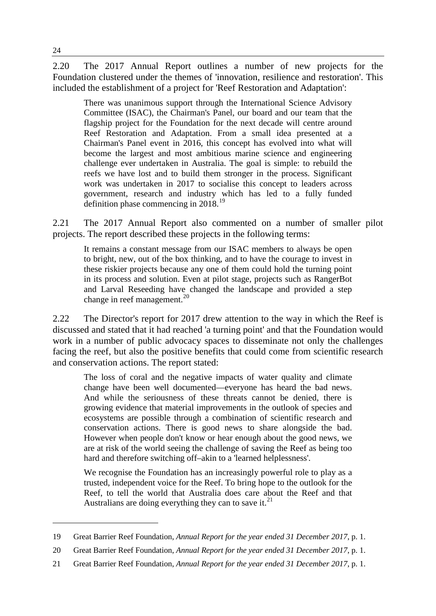2.20 The 2017 Annual Report outlines a number of new projects for the Foundation clustered under the themes of 'innovation, resilience and restoration'. This included the establishment of a project for 'Reef Restoration and Adaptation':

There was unanimous support through the International Science Advisory Committee (ISAC), the Chairman's Panel, our board and our team that the flagship project for the Foundation for the next decade will centre around Reef Restoration and Adaptation. From a small idea presented at a Chairman's Panel event in 2016, this concept has evolved into what will become the largest and most ambitious marine science and engineering challenge ever undertaken in Australia. The goal is simple: to rebuild the reefs we have lost and to build them stronger in the process. Significant work was undertaken in 2017 to socialise this concept to leaders across government, research and industry which has led to a fully funded definition phase commencing in 2018.<sup>[19](#page-5-0)</sup>

2.21 The 2017 Annual Report also commented on a number of smaller pilot projects. The report described these projects in the following terms:

It remains a constant message from our ISAC members to always be open to bright, new, out of the box thinking, and to have the courage to invest in these riskier projects because any one of them could hold the turning point in its process and solution. Even at pilot stage, projects such as RangerBot and Larval Reseeding have changed the landscape and provided a step change in reef management. $^{20}$  $^{20}$  $^{20}$ 

2.22 The Director's report for 2017 drew attention to the way in which the Reef is discussed and stated that it had reached 'a turning point' and that the Foundation would work in a number of public advocacy spaces to disseminate not only the challenges facing the reef, but also the positive benefits that could come from scientific research and conservation actions. The report stated:

The loss of coral and the negative impacts of water quality and climate change have been well documented—everyone has heard the bad news. And while the seriousness of these threats cannot be denied, there is growing evidence that material improvements in the outlook of species and ecosystems are possible through a combination of scientific research and conservation actions. There is good news to share alongside the bad. However when people don't know or hear enough about the good news, we are at risk of the world seeing the challenge of saving the Reef as being too hard and therefore switching off–akin to a 'learned helplessness'.

We recognise the Foundation has an increasingly powerful role to play as a trusted, independent voice for the Reef. To bring hope to the outlook for the Reef, to tell the world that Australia does care about the Reef and that Australians are doing everything they can to save it.<sup>[21](#page-5-2)</sup>

<span id="page-5-0"></span><sup>19</sup> Great Barrier Reef Foundation, *Annual Report for the year ended 31 December 2017*, p. 1.

<span id="page-5-1"></span><sup>20</sup> Great Barrier Reef Foundation, *Annual Report for the year ended 31 December 2017*, p. 1.

<span id="page-5-2"></span><sup>21</sup> Great Barrier Reef Foundation, *Annual Report for the year ended 31 December 2017*, p. 1.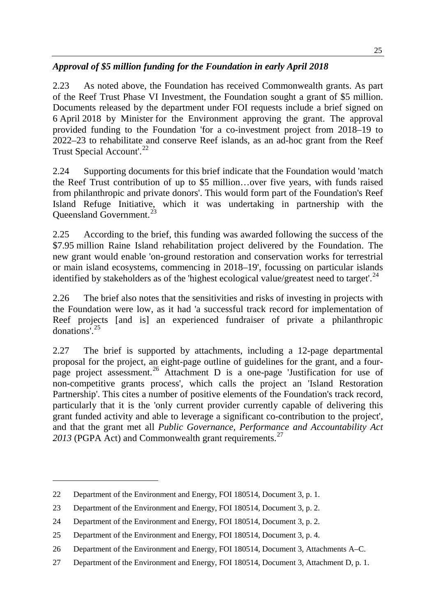## *Approval of \$5 million funding for the Foundation in early April 2018*

2.23 As noted above, the Foundation has received Commonwealth grants. As part of the Reef Trust Phase VI Investment, the Foundation sought a grant of \$5 million. Documents released by the department under FOI requests include a brief signed on 6 April 2018 by Minister for the Environment approving the grant. The approval provided funding to the Foundation 'for a co-investment project from 2018–19 to 2022–23 to rehabilitate and conserve Reef islands, as an ad-hoc grant from the Reef Trust Special Account'.<sup>[22](#page-6-0)</sup>

2.24 Supporting documents for this brief indicate that the Foundation would 'match the Reef Trust contribution of up to \$5 million…over five years, with funds raised from philanthropic and private donors'. This would form part of the Foundation's Reef Island Refuge Initiative, which it was undertaking in partnership with the Queensland Government.<sup>[23](#page-6-1)</sup>

2.25 According to the brief, this funding was awarded following the success of the \$7.95 million Raine Island rehabilitation project delivered by the Foundation. The new grant would enable 'on-ground restoration and conservation works for terrestrial or main island ecosystems, commencing in 2018–19', focussing on particular islands identified by stakeholders as of the 'highest ecological value/greatest need to target'.<sup>[24](#page-6-2)</sup>

2.26 The brief also notes that the sensitivities and risks of investing in projects with the Foundation were low, as it had 'a successful track record for implementation of Reef projects [and is] an experienced fundraiser of private a philanthropic donations'.[25](#page-6-3)

2.27 The brief is supported by attachments, including a 12-page departmental proposal for the project, an eight-page outline of guidelines for the grant, and a fourpage project assessment.[26](#page-6-4) Attachment D is a one-page 'Justification for use of non-competitive grants process', which calls the project an 'Island Restoration Partnership'. This cites a number of positive elements of the Foundation's track record, particularly that it is the 'only current provider currently capable of delivering this grant funded activity and able to leverage a significant co-contribution to the project', and that the grant met all *Public Governance, Performance and Accountability Act* 2013 (PGPA Act) and Commonwealth grant requirements.<sup>[27](#page-6-5)</sup>

<span id="page-6-0"></span><sup>22</sup> Department of the Environment and Energy, FOI 180514, Document 3, p. 1.

<span id="page-6-1"></span><sup>23</sup> Department of the Environment and Energy, FOI 180514, Document 3, p. 2.

<span id="page-6-2"></span><sup>24</sup> Department of the Environment and Energy, FOI 180514, Document 3, p. 2.

<span id="page-6-3"></span><sup>25</sup> Department of the Environment and Energy, FOI 180514, Document 3, p. 4.

<span id="page-6-4"></span><sup>26</sup> Department of the Environment and Energy, FOI 180514, Document 3, Attachments A–C.

<span id="page-6-5"></span><sup>27</sup> Department of the Environment and Energy, FOI 180514, Document 3, Attachment D, p. 1.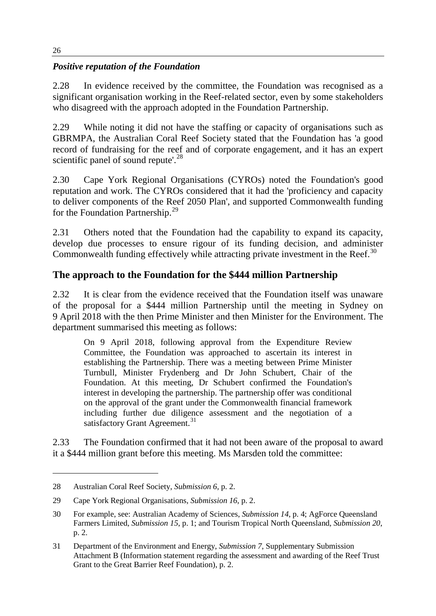## *Positive reputation of the Foundation*

2.28 In evidence received by the committee, the Foundation was recognised as a significant organisation working in the Reef-related sector, even by some stakeholders who disagreed with the approach adopted in the Foundation Partnership.

2.29 While noting it did not have the staffing or capacity of organisations such as GBRMPA, the Australian Coral Reef Society stated that the Foundation has 'a good record of fundraising for the reef and of corporate engagement, and it has an expert scientific panel of sound repute'.<sup>[28](#page-7-0)</sup>

2.30 Cape York Regional Organisations (CYROs) noted the Foundation's good reputation and work. The CYROs considered that it had the 'proficiency and capacity to deliver components of the Reef 2050 Plan', and supported Commonwealth funding for the Foundation Partnership.<sup>[29](#page-7-1)</sup>

2.31 Others noted that the Foundation had the capability to expand its capacity, develop due processes to ensure rigour of its funding decision, and administer Commonwealth funding effectively while attracting private investment in the Reef.<sup>[30](#page-7-2)</sup>

## **The approach to the Foundation for the \$444 million Partnership**

2.32 It is clear from the evidence received that the Foundation itself was unaware of the proposal for a \$444 million Partnership until the meeting in Sydney on 9 April 2018 with the then Prime Minister and then Minister for the Environment. The department summarised this meeting as follows:

On 9 April 2018, following approval from the Expenditure Review Committee, the Foundation was approached to ascertain its interest in establishing the Partnership. There was a meeting between Prime Minister Turnbull, Minister Frydenberg and Dr John Schubert, Chair of the Foundation. At this meeting, Dr Schubert confirmed the Foundation's interest in developing the partnership. The partnership offer was conditional on the approval of the grant under the Commonwealth financial framework including further due diligence assessment and the negotiation of a satisfactory Grant Agreement.<sup>[31](#page-7-3)</sup>

2.33 The Foundation confirmed that it had not been aware of the proposal to award it a \$444 million grant before this meeting. Ms Marsden told the committee:

<span id="page-7-0"></span><sup>28</sup> Australian Coral Reef Society, *Submission 6*, p. 2.

<span id="page-7-1"></span><sup>29</sup> Cape York Regional Organisations, *Submission 16*, p. 2.

<span id="page-7-2"></span><sup>30</sup> For example, see: Australian Academy of Sciences, *Submission 14*, p. 4; AgForce Queensland Farmers Limited, *Submission 15*, p. 1; and Tourism Tropical North Queensland, *Submission 20*, p. 2.

<span id="page-7-3"></span><sup>31</sup> Department of the Environment and Energy, *Submission 7*, Supplementary Submission Attachment B (Information statement regarding the assessment and awarding of the Reef Trust Grant to the Great Barrier Reef Foundation), p. 2.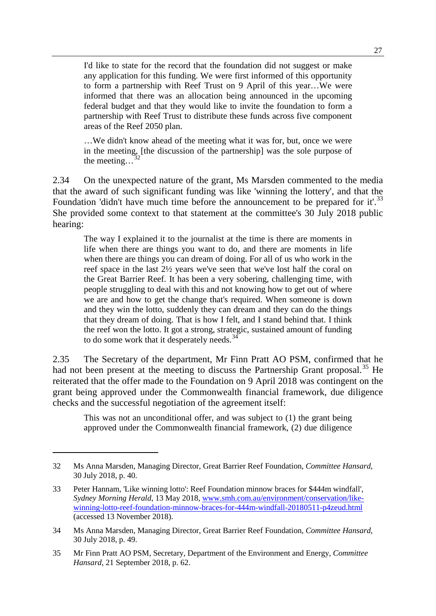I'd like to state for the record that the foundation did not suggest or make any application for this funding. We were first informed of this opportunity to form a partnership with Reef Trust on 9 April of this year…We were informed that there was an allocation being announced in the upcoming federal budget and that they would like to invite the foundation to form a partnership with Reef Trust to distribute these funds across five component areas of the Reef 2050 plan.

…We didn't know ahead of the meeting what it was for, but, once we were in the meeting, [the discussion of the partnership] was the sole purpose of the meeting... $\frac{3}{2}$ 

2.34 On the unexpected nature of the grant, Ms Marsden commented to the media that the award of such significant funding was like 'winning the lottery', and that the Foundation 'didn't have much time before the announcement to be prepared for it'.<sup>[33](#page-8-1)</sup> She provided some context to that statement at the committee's 30 July 2018 public hearing:

The way I explained it to the journalist at the time is there are moments in life when there are things you want to do, and there are moments in life when there are things you can dream of doing. For all of us who work in the reef space in the last 2½ years we've seen that we've lost half the coral on the Great Barrier Reef. It has been a very sobering, challenging time, with people struggling to deal with this and not knowing how to get out of where we are and how to get the change that's required. When someone is down and they win the lotto, suddenly they can dream and they can do the things that they dream of doing. That is how I felt, and I stand behind that. I think the reef won the lotto. It got a strong, strategic, sustained amount of funding to do some work that it desperately needs.<sup>[34](#page-8-2)</sup>

2.35 The Secretary of the department, Mr Finn Pratt AO PSM, confirmed that he had not been present at the meeting to discuss the Partnership Grant proposal.<sup>[35](#page-8-3)</sup> He reiterated that the offer made to the Foundation on 9 April 2018 was contingent on the grant being approved under the Commonwealth financial framework, due diligence checks and the successful negotiation of the agreement itself:

This was not an unconditional offer, and was subject to (1) the grant being approved under the Commonwealth financial framework, (2) due diligence

<span id="page-8-0"></span><sup>32</sup> Ms Anna Marsden, Managing Director, Great Barrier Reef Foundation, *Committee Hansard*, 30 July 2018, p. 40.

<span id="page-8-1"></span><sup>33</sup> Peter Hannam, 'Like winning lotto': Reef Foundation minnow braces for \$444m windfall', *Sydney Morning Herald*, 13 May 2018, [www.smh.com.au/environment/conservation/like](http://www.smh.com.au/environment/conservation/like-winning-lotto-reef-foundation-minnow-braces-for-444m-windfall-20180511-p4zeud.html)[winning-lotto-reef-foundation-minnow-braces-for-444m-windfall-20180511-p4zeud.html](http://www.smh.com.au/environment/conservation/like-winning-lotto-reef-foundation-minnow-braces-for-444m-windfall-20180511-p4zeud.html) (accessed 13 November 2018).

<span id="page-8-2"></span><sup>34</sup> Ms Anna Marsden, Managing Director, Great Barrier Reef Foundation, *Committee Hansard*, 30 July 2018, p. 49.

<span id="page-8-3"></span><sup>35</sup> Mr Finn Pratt AO PSM, Secretary, Department of the Environment and Energy, *Committee Hansard*, 21 September 2018, p. 62.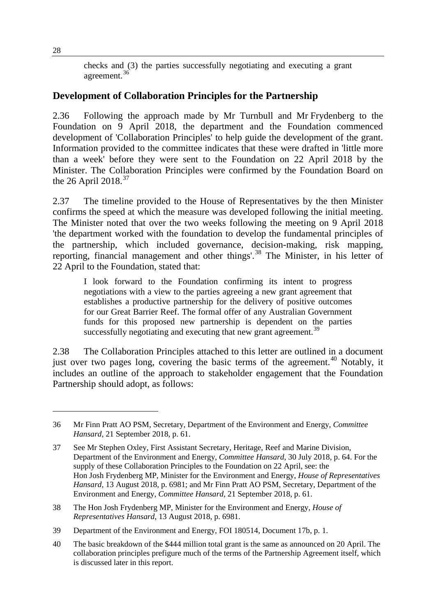checks and (3) the parties successfully negotiating and executing a grant agreement.[36](#page-9-0)

## **Development of Collaboration Principles for the Partnership**

2.36 Following the approach made by Mr Turnbull and Mr Frydenberg to the Foundation on 9 April 2018, the department and the Foundation commenced development of 'Collaboration Principles' to help guide the development of the grant. Information provided to the committee indicates that these were drafted in 'little more than a week' before they were sent to the Foundation on 22 April 2018 by the Minister. The Collaboration Principles were confirmed by the Foundation Board on the 26 April 2018. $37$ 

2.37 The timeline provided to the House of Representatives by the then Minister confirms the speed at which the measure was developed following the initial meeting. The Minister noted that over the two weeks following the meeting on 9 April 2018 'the department worked with the foundation to develop the fundamental principles of the partnership, which included governance, decision-making, risk mapping, reporting, financial management and other things'.[38](#page-9-2) The Minister, in his letter of 22 April to the Foundation, stated that:

I look forward to the Foundation confirming its intent to progress negotiations with a view to the parties agreeing a new grant agreement that establishes a productive partnership for the delivery of positive outcomes for our Great Barrier Reef. The formal offer of any Australian Government funds for this proposed new partnership is dependent on the parties successfully negotiating and executing that new grant agreement.<sup>[39](#page-9-3)</sup>

2.38 The Collaboration Principles attached to this letter are outlined in a document just over two pages long, covering the basic terms of the agreement.<sup>[40](#page-9-4)</sup> Notably, it includes an outline of the approach to stakeholder engagement that the Foundation Partnership should adopt, as follows:

<span id="page-9-0"></span><sup>36</sup> Mr Finn Pratt AO PSM, Secretary, Department of the Environment and Energy, *Committee Hansard*, 21 September 2018, p. 61.

<span id="page-9-1"></span><sup>37</sup> See Mr Stephen Oxley, First Assistant Secretary, Heritage, Reef and Marine Division, Department of the Environment and Energy, *Committee Hansard*, 30 July 2018, p. 64. For the supply of these Collaboration Principles to the Foundation on 22 April, see: the Hon Josh Frydenberg MP, Minister for the Environment and Energy, *House of Representatives Hansard*, 13 August 2018, p. 6981; and Mr Finn Pratt AO PSM, Secretary, Department of the Environment and Energy, *Committee Hansard*, 21 September 2018, p. 61.

<span id="page-9-2"></span><sup>38</sup> The Hon Josh Frydenberg MP, Minister for the Environment and Energy, *House of Representatives Hansard*, 13 August 2018, p. 6981.

<span id="page-9-3"></span><sup>39</sup> Department of the Environment and Energy, FOI 180514, Document 17b, p. 1.

<span id="page-9-4"></span><sup>40</sup> The basic breakdown of the \$444 million total grant is the same as announced on 20 April. The collaboration principles prefigure much of the terms of the Partnership Agreement itself, which is discussed later in this report.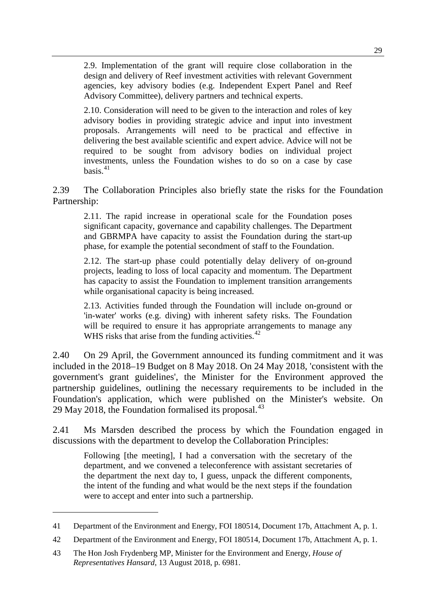2.9. Implementation of the grant will require close collaboration in the design and delivery of Reef investment activities with relevant Government agencies, key advisory bodies (e.g. Independent Expert Panel and Reef Advisory Committee), delivery partners and technical experts.

2.10. Consideration will need to be given to the interaction and roles of key advisory bodies in providing strategic advice and input into investment proposals. Arrangements will need to be practical and effective in delivering the best available scientific and expert advice. Advice will not be required to be sought from advisory bodies on individual project investments, unless the Foundation wishes to do so on a case by case basis. $41$ 

2.39 The Collaboration Principles also briefly state the risks for the Foundation Partnership:

2.11. The rapid increase in operational scale for the Foundation poses significant capacity, governance and capability challenges. The Department and GBRMPA have capacity to assist the Foundation during the start-up phase, for example the potential secondment of staff to the Foundation.

2.12. The start-up phase could potentially delay delivery of on-ground projects, leading to loss of local capacity and momentum. The Department has capacity to assist the Foundation to implement transition arrangements while organisational capacity is being increased.

2.13. Activities funded through the Foundation will include on-ground or 'in-water' works (e.g. diving) with inherent safety risks. The Foundation will be required to ensure it has appropriate arrangements to manage any WHS risks that arise from the funding activities.<sup>[42](#page-10-1)</sup>

2.40 On 29 April, the Government announced its funding commitment and it was included in the 2018–19 Budget on 8 May 2018. On 24 May 2018, 'consistent with the government's grant guidelines', the Minister for the Environment approved the partnership guidelines, outlining the necessary requirements to be included in the Foundation's application, which were published on the Minister's website. On 29 May 2018, the Foundation formalised its proposal. $^{43}$  $^{43}$  $^{43}$ 

2.41 Ms Marsden described the process by which the Foundation engaged in discussions with the department to develop the Collaboration Principles:

Following [the meeting], I had a conversation with the secretary of the department, and we convened a teleconference with assistant secretaries of the department the next day to, I guess, unpack the different components, the intent of the funding and what would be the next steps if the foundation were to accept and enter into such a partnership.

<span id="page-10-0"></span><sup>41</sup> Department of the Environment and Energy, FOI 180514, Document 17b, Attachment A, p. 1.

<span id="page-10-1"></span><sup>42</sup> Department of the Environment and Energy, FOI 180514, Document 17b, Attachment A, p. 1.

<span id="page-10-2"></span><sup>43</sup> The Hon Josh Frydenberg MP, Minister for the Environment and Energy, *House of Representatives Hansard*, 13 August 2018, p. 6981.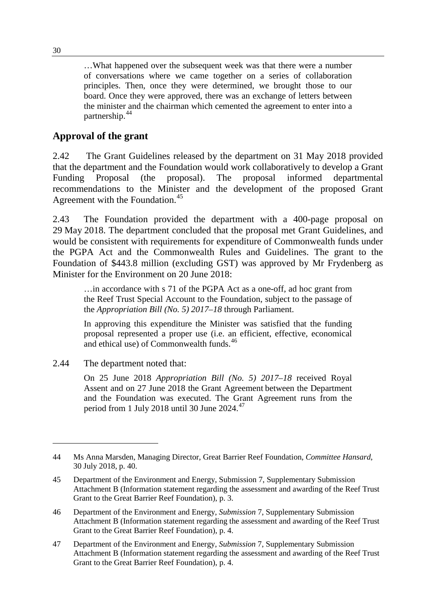…What happened over the subsequent week was that there were a number of conversations where we came together on a series of collaboration principles. Then, once they were determined, we brought those to our board. Once they were approved, there was an exchange of letters between the minister and the chairman which cemented the agreement to enter into a partnership.[44](#page-11-0)

## **Approval of the grant**

2.42 The Grant Guidelines released by the department on 31 May 2018 provided that the department and the Foundation would work collaboratively to develop a Grant Funding Proposal (the proposal). The proposal informed departmental recommendations to the Minister and the development of the proposed Grant Agreement with the Foundation.<sup>[45](#page-11-1)</sup>

2.43 The Foundation provided the department with a 400-page proposal on 29 May 2018. The department concluded that the proposal met Grant Guidelines, and would be consistent with requirements for expenditure of Commonwealth funds under the PGPA Act and the Commonwealth Rules and Guidelines. The grant to the Foundation of \$443.8 million (excluding GST) was approved by Mr Frydenberg as Minister for the Environment on 20 June 2018:

…in accordance with s 71 of the PGPA Act as a one-off, ad hoc grant from the Reef Trust Special Account to the Foundation, subject to the passage of the *Appropriation Bill (No. 5) 2017–18* through Parliament.

In approving this expenditure the Minister was satisfied that the funding proposal represented a proper use (i.e. an efficient, effective, economical and ethical use) of Commonwealth funds.<sup>[46](#page-11-2)</sup>

2.44 The department noted that:

On 25 June 2018 *Appropriation Bill (No. 5) 2017–18* received Royal Assent and on 27 June 2018 the Grant Agreement between the Department and the Foundation was executed. The Grant Agreement runs from the period from 1 July 2018 until 30 June 2024.<sup>[47](#page-11-3)</sup>

<span id="page-11-3"></span>47 Department of the Environment and Energy, *Submission* 7, Supplementary Submission Attachment B (Information statement regarding the assessment and awarding of the Reef Trust Grant to the Great Barrier Reef Foundation), p. 4.

<span id="page-11-0"></span><sup>44</sup> Ms Anna Marsden, Managing Director, Great Barrier Reef Foundation, *Committee Hansard*, 30 July 2018, p. 40.

<span id="page-11-1"></span><sup>45</sup> Department of the Environment and Energy, Submission 7, Supplementary Submission Attachment B (Information statement regarding the assessment and awarding of the Reef Trust Grant to the Great Barrier Reef Foundation), p. 3.

<span id="page-11-2"></span><sup>46</sup> Department of the Environment and Energy, *Submission* 7, Supplementary Submission Attachment B (Information statement regarding the assessment and awarding of the Reef Trust Grant to the Great Barrier Reef Foundation), p. 4.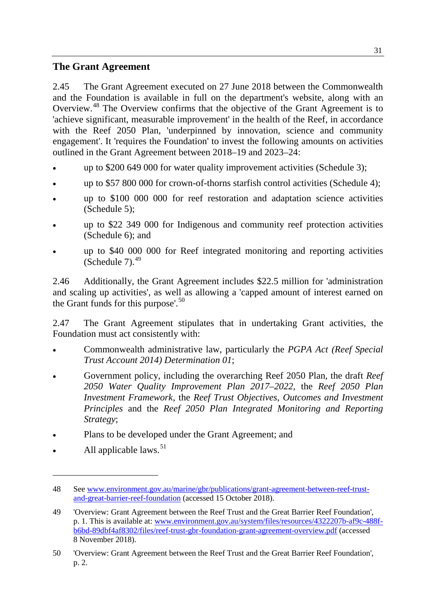## **The Grant Agreement**

2.45 The Grant Agreement executed on 27 June 2018 between the Commonwealth and the Foundation is available in full on the department's website, along with an Overview.[48](#page-12-0) The Overview confirms that the objective of the Grant Agreement is to 'achieve significant, measurable improvement' in the health of the Reef, in accordance with the Reef 2050 Plan, 'underpinned by innovation, science and community engagement'. It 'requires the Foundation' to invest the following amounts on activities outlined in the Grant Agreement between 2018–19 and 2023–24:

- up to \$200 649 000 for water quality improvement activities (Schedule 3);
- up to \$57 800 000 for crown-of-thorns starfish control activities (Schedule 4);
- up to \$100 000 000 for reef restoration and adaptation science activities (Schedule 5);
- up to \$22 349 000 for Indigenous and community reef protection activities (Schedule 6); and
- up to \$40 000 000 for Reef integrated monitoring and reporting activities (Schedule  $7<sup>49</sup>$  $7<sup>49</sup>$  $7<sup>49</sup>$ )

2.46 Additionally, the Grant Agreement includes \$22.5 million for 'administration and scaling up activities', as well as allowing a 'capped amount of interest earned on the Grant funds for this purpose'. $50$ 

2.47 The Grant Agreement stipulates that in undertaking Grant activities, the Foundation must act consistently with:

- Commonwealth administrative law, particularly the *PGPA Act (Reef Special Trust Account 2014) Determination 01*;
- Government policy, including the overarching Reef 2050 Plan, the draft *Reef 2050 Water Quality Improvement Plan 2017–2022*, the *Reef 2050 Plan Investment Framework*, the *Reef Trust Objectives*, *Outcomes and Investment Principles* and the *Reef 2050 Plan Integrated Monitoring and Reporting Strategy*;
- Plans to be developed under the Grant Agreement; and
- <span id="page-12-3"></span>All applicable laws.  $51$

<span id="page-12-0"></span><sup>48</sup> See [www.environment.gov.au/marine/gbr/publications/grant-agreement-between-reef-trust](http://www.environment.gov.au/marine/gbr/publications/grant-agreement-between-reef-trust-and-great-barrier-reef-foundation)[and-great-barrier-reef-foundation](http://www.environment.gov.au/marine/gbr/publications/grant-agreement-between-reef-trust-and-great-barrier-reef-foundation) (accessed 15 October 2018).

<span id="page-12-1"></span><sup>49</sup> 'Overview: Grant Agreement between the Reef Trust and the Great Barrier Reef Foundation', p. 1. This is available at: [www.environment.gov.au/system/files/resources/4322207b-af9c-488f](http://www.environment.gov.au/system/files/resources/4322207b-af9c-488f-b6bd-89dbf4af8302/files/reef-trust-gbr-foundation-grant-agreement-overview.pdf)[b6bd-89dbf4af8302/files/reef-trust-gbr-foundation-grant-agreement-overview.pdf](http://www.environment.gov.au/system/files/resources/4322207b-af9c-488f-b6bd-89dbf4af8302/files/reef-trust-gbr-foundation-grant-agreement-overview.pdf) (accessed 8 November 2018).

<span id="page-12-2"></span><sup>50</sup> 'Overview: Grant Agreement between the Reef Trust and the Great Barrier Reef Foundation', p. 2.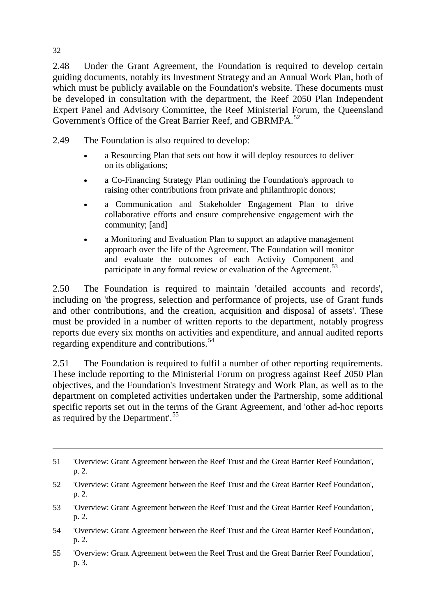2.48 Under the Grant Agreement, the Foundation is required to develop certain guiding documents, notably its Investment Strategy and an Annual Work Plan, both of which must be publicly available on the Foundation's website. These documents must be developed in consultation with the department, the Reef 2050 Plan Independent Expert Panel and Advisory Committee, the Reef Ministerial Forum, the Queensland Government's Office of the Great Barrier Reef, and GBRMPA.<sup>[52](#page-13-0)</sup>

2.49 The Foundation is also required to develop:

- a Resourcing Plan that sets out how it will deploy resources to deliver on its obligations;
- a Co-Financing Strategy Plan outlining the Foundation's approach to raising other contributions from private and philanthropic donors;
- a Communication and Stakeholder Engagement Plan to drive collaborative efforts and ensure comprehensive engagement with the community; [and]
- a Monitoring and Evaluation Plan to support an adaptive management approach over the life of the Agreement. The Foundation will monitor and evaluate the outcomes of each Activity Component and participate in any formal review or evaluation of the Agreement.<sup>[53](#page-13-1)</sup>

2.50 The Foundation is required to maintain 'detailed accounts and records', including on 'the progress, selection and performance of projects, use of Grant funds and other contributions, and the creation, acquisition and disposal of assets'. These must be provided in a number of written reports to the department, notably progress reports due every six months on activities and expenditure, and annual audited reports regarding expenditure and contributions.<sup>[54](#page-13-2)</sup>

2.51 The Foundation is required to fulfil a number of other reporting requirements. These include reporting to the Ministerial Forum on progress against Reef 2050 Plan objectives, and the Foundation's Investment Strategy and Work Plan, as well as to the department on completed activities undertaken under the Partnership, some additional specific reports set out in the terms of the Grant Agreement, and 'other ad-hoc reports as required by the Department'.<sup>[55](#page-13-3)</sup>

- <span id="page-13-2"></span>54 'Overview: Grant Agreement between the Reef Trust and the Great Barrier Reef Foundation', p. 2.
- <span id="page-13-3"></span>55 'Overview: Grant Agreement between the Reef Trust and the Great Barrier Reef Foundation', p. 3.

<sup>51</sup> 'Overview: Grant Agreement between the Reef Trust and the Great Barrier Reef Foundation', p. 2.

<span id="page-13-0"></span><sup>52</sup> 'Overview: Grant Agreement between the Reef Trust and the Great Barrier Reef Foundation', p. 2.

<span id="page-13-1"></span><sup>53</sup> 'Overview: Grant Agreement between the Reef Trust and the Great Barrier Reef Foundation', p. 2.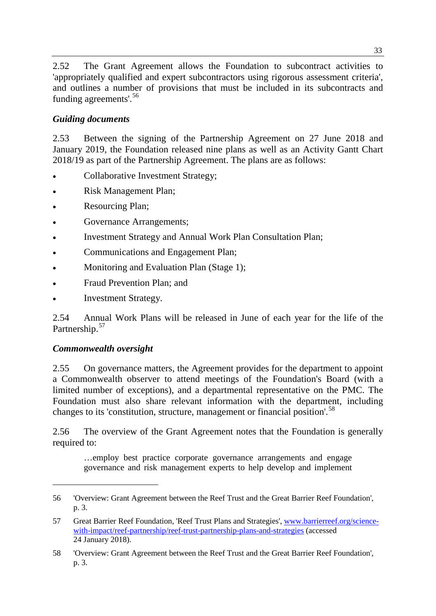2.52 The Grant Agreement allows the Foundation to subcontract activities to 'appropriately qualified and expert subcontractors using rigorous assessment criteria', and outlines a number of provisions that must be included in its subcontracts and funding agreements'.<sup>[56](#page-14-0)</sup>

## *Guiding documents*

2.53 Between the signing of the Partnership Agreement on 27 June 2018 and January 2019, the Foundation released nine plans as well as an Activity Gantt Chart 2018/19 as part of the Partnership Agreement. The plans are as follows:

- Collaborative Investment Strategy;
- Risk Management Plan;
- Resourcing Plan;
- Governance Arrangements;
- Investment Strategy and Annual Work Plan Consultation Plan;
- Communications and Engagement Plan;
- Monitoring and Evaluation Plan (Stage 1);
- Fraud Prevention Plan; and
- Investment Strategy.

2.54 Annual Work Plans will be released in June of each year for the life of the Partnership.<sup>[57](#page-14-1)</sup>

### *Commonwealth oversight*

-

2.55 On governance matters, the Agreement provides for the department to appoint a Commonwealth observer to attend meetings of the Foundation's Board (with a limited number of exceptions), and a departmental representative on the PMC. The Foundation must also share relevant information with the department, including changes to its 'constitution, structure, management or financial position'.<sup>[58](#page-14-2)</sup>

2.56 The overview of the Grant Agreement notes that the Foundation is generally required to:

…employ best practice corporate governance arrangements and engage governance and risk management experts to help develop and implement

<span id="page-14-0"></span><sup>56</sup> 'Overview: Grant Agreement between the Reef Trust and the Great Barrier Reef Foundation', p. 3.

<span id="page-14-1"></span><sup>57</sup> Great Barrier Reef Foundation, 'Reef Trust Plans and Strategies', [www.barrierreef.org/science](http://www.barrierreef.org/science-with-impact/reef-partnership/reef-trust-partnership-plans-and-strategies)[with-impact/reef-partnership/reef-trust-partnership-plans-and-strategies](http://www.barrierreef.org/science-with-impact/reef-partnership/reef-trust-partnership-plans-and-strategies) (accessed 24 January 2018).

<span id="page-14-2"></span><sup>58</sup> 'Overview: Grant Agreement between the Reef Trust and the Great Barrier Reef Foundation', p. 3.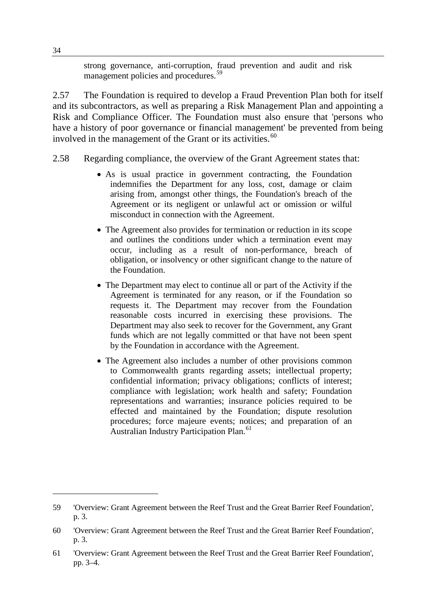strong governance, anti-corruption, fraud prevention and audit and risk management policies and procedures.<sup>[59](#page-15-0)</sup>

2.57 The Foundation is required to develop a Fraud Prevention Plan both for itself and its subcontractors, as well as preparing a Risk Management Plan and appointing a Risk and Compliance Officer. The Foundation must also ensure that 'persons who have a history of poor governance or financial management' be prevented from being involved in the management of the Grant or its activities.<sup>[60](#page-15-1)</sup>

- 2.58 Regarding compliance, the overview of the Grant Agreement states that:
	- As is usual practice in government contracting, the Foundation indemnifies the Department for any loss, cost, damage or claim arising from, amongst other things, the Foundation's breach of the Agreement or its negligent or unlawful act or omission or wilful misconduct in connection with the Agreement.
	- The Agreement also provides for termination or reduction in its scope and outlines the conditions under which a termination event may occur, including as a result of non-performance, breach of obligation, or insolvency or other significant change to the nature of the Foundation.
	- The Department may elect to continue all or part of the Activity if the Agreement is terminated for any reason, or if the Foundation so requests it. The Department may recover from the Foundation reasonable costs incurred in exercising these provisions. The Department may also seek to recover for the Government, any Grant funds which are not legally committed or that have not been spent by the Foundation in accordance with the Agreement.
	- The Agreement also includes a number of other provisions common to Commonwealth grants regarding assets; intellectual property; confidential information; privacy obligations; conflicts of interest; compliance with legislation; work health and safety; Foundation representations and warranties; insurance policies required to be effected and maintained by the Foundation; dispute resolution procedures; force majeure events; notices; and preparation of an Australian Industry Participation Plan.<sup>[61](#page-15-2)</sup>

<span id="page-15-0"></span><sup>59</sup> 'Overview: Grant Agreement between the Reef Trust and the Great Barrier Reef Foundation', p. 3.

<span id="page-15-1"></span><sup>60</sup> 'Overview: Grant Agreement between the Reef Trust and the Great Barrier Reef Foundation', p. 3.

<span id="page-15-2"></span><sup>61</sup> 'Overview: Grant Agreement between the Reef Trust and the Great Barrier Reef Foundation', pp. 3–4.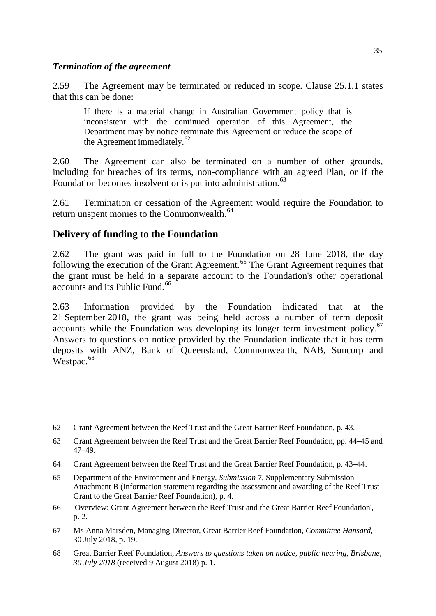#### *Termination of the agreement*

2.59 The Agreement may be terminated or reduced in scope. Clause 25.1.1 states that this can be done:

If there is a material change in Australian Government policy that is inconsistent with the continued operation of this Agreement, the Department may by notice terminate this Agreement or reduce the scope of the Agreement immediately.<sup>[62](#page-16-0)</sup>

2.60 The Agreement can also be terminated on a number of other grounds, including for breaches of its terms, non-compliance with an agreed Plan, or if the Foundation becomes insolvent or is put into administration.<sup>[63](#page-16-1)</sup>

2.61 Termination or cessation of the Agreement would require the Foundation to return unspent monies to the Commonwealth.<sup>[64](#page-16-2)</sup>

#### **Delivery of funding to the Foundation**

-

2.62 The grant was paid in full to the Foundation on 28 June 2018, the day following the execution of the Grant Agreement.<sup>[65](#page-16-3)</sup> The Grant Agreement requires that the grant must be held in a separate account to the Foundation's other operational accounts and its Public Fund.<sup>[66](#page-16-4)</sup>

2.63 Information provided by the Foundation indicated that at the 21 September 2018, the grant was being held across a number of term deposit accounts while the Foundation was developing its longer term investment policy.<sup>[67](#page-16-5)</sup> Answers to questions on notice provided by the Foundation indicate that it has term deposits with ANZ, Bank of Queensland, Commonwealth, NAB, Suncorp and Westpac.<sup>[68](#page-16-6)</sup>

<span id="page-16-0"></span><sup>62</sup> Grant Agreement between the Reef Trust and the Great Barrier Reef Foundation, p. 43.

<span id="page-16-1"></span><sup>63</sup> Grant Agreement between the Reef Trust and the Great Barrier Reef Foundation, pp. 44–45 and 47–49.

<span id="page-16-2"></span><sup>64</sup> Grant Agreement between the Reef Trust and the Great Barrier Reef Foundation, p. 43–44.

<span id="page-16-3"></span><sup>65</sup> Department of the Environment and Energy, *Submission* 7, Supplementary Submission Attachment B (Information statement regarding the assessment and awarding of the Reef Trust Grant to the Great Barrier Reef Foundation), p. 4.

<span id="page-16-4"></span><sup>66</sup> 'Overview: Grant Agreement between the Reef Trust and the Great Barrier Reef Foundation', p. 2.

<span id="page-16-5"></span><sup>67</sup> Ms Anna Marsden, Managing Director, Great Barrier Reef Foundation, *Committee Hansard*, 30 July 2018, p. 19.

<span id="page-16-6"></span><sup>68</sup> Great Barrier Reef Foundation, *Answers to questions taken on notice, public hearing, Brisbane, 30 July 2018* (received 9 August 2018) p. 1.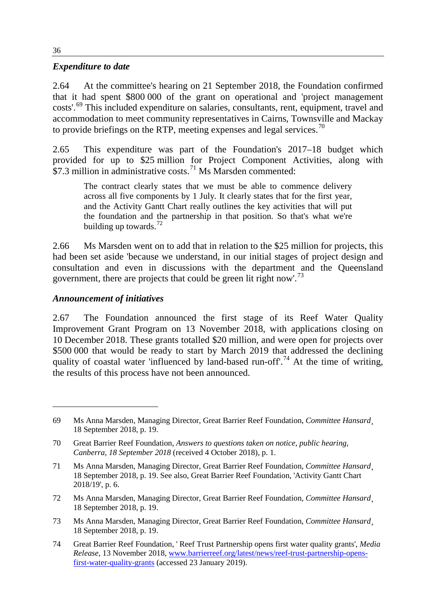#### *Expenditure to date*

2.64 At the committee's hearing on 21 September 2018, the Foundation confirmed that it had spent \$800 000 of the grant on operational and 'project management costs'.[69](#page-17-0) This included expenditure on salaries, consultants, rent, equipment, travel and accommodation to meet community representatives in Cairns, Townsville and Mackay to provide briefings on the RTP, meeting expenses and legal services.<sup>[70](#page-17-1)</sup>

2.65 This expenditure was part of the Foundation's 2017–18 budget which provided for up to \$25 million for Project Component Activities, along with  $$7.3$  million in administrative costs.<sup>[71](#page-17-2)</sup> Ms Marsden commented:

The contract clearly states that we must be able to commence delivery across all five components by 1 July. It clearly states that for the first year, and the Activity Gantt Chart really outlines the key activities that will put the foundation and the partnership in that position. So that's what we're building up towards. $^{72}$  $^{72}$  $^{72}$ 

2.66 Ms Marsden went on to add that in relation to the \$25 million for projects, this had been set aside 'because we understand, in our initial stages of project design and consultation and even in discussions with the department and the Queensland government, there are projects that could be green lit right now'.<sup>[73](#page-17-4)</sup>

#### *Announcement of initiatives*

2.67 The Foundation announced the first stage of its Reef Water Quality Improvement Grant Program on 13 November 2018, with applications closing on 10 December 2018. These grants totalled \$20 million, and were open for projects over \$500,000 that would be ready to start by March 2019 that addressed the declining quality of coastal water 'influenced by land-based run-off'.<sup>[74](#page-17-5)</sup> At the time of writing, the results of this process have not been announced.

- <span id="page-17-3"></span>72 Ms Anna Marsden, Managing Director, Great Barrier Reef Foundation, *Committee Hansard*¸ 18 September 2018, p. 19.
- <span id="page-17-4"></span>73 Ms Anna Marsden, Managing Director, Great Barrier Reef Foundation, *Committee Hansard*¸ 18 September 2018, p. 19.

<span id="page-17-0"></span><sup>69</sup> Ms Anna Marsden, Managing Director, Great Barrier Reef Foundation, *Committee Hansard*¸ 18 September 2018, p. 19.

<span id="page-17-1"></span><sup>70</sup> Great Barrier Reef Foundation, *Answers to questions taken on notice, public hearing, Canberra, 18 September 2018* (received 4 October 2018), p. 1.

<span id="page-17-2"></span><sup>71</sup> Ms Anna Marsden, Managing Director, Great Barrier Reef Foundation, *Committee Hansard*¸ 18 September 2018, p. 19. See also, Great Barrier Reef Foundation, 'Activity Gantt Chart 2018/19', p. 6.

<span id="page-17-5"></span><sup>74</sup> Great Barrier Reef Foundation, ' Reef Trust Partnership opens first water quality grants', *Media Release*, 13 November 2018, [www.barrierreef.org/latest/news/reef-trust-partnership-opens](http://www.barrierreef.org/latest/news/reef-trust-partnership-opens-first-water-quality-grants)[first-water-quality-grants](http://www.barrierreef.org/latest/news/reef-trust-partnership-opens-first-water-quality-grants) (accessed 23 January 2019).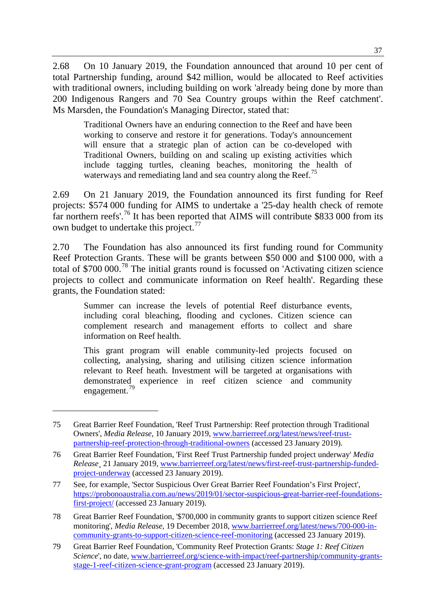2.68 On 10 January 2019, the Foundation announced that around 10 per cent of total Partnership funding, around \$42 million, would be allocated to Reef activities with traditional owners, including building on work 'already being done by more than 200 Indigenous Rangers and 70 Sea Country groups within the Reef catchment'. Ms Marsden, the Foundation's Managing Director, stated that:

Traditional Owners have an enduring connection to the Reef and have been working to conserve and restore it for generations. Today's announcement will ensure that a strategic plan of action can be co-developed with Traditional Owners, building on and scaling up existing activities which include tagging turtles, cleaning beaches, monitoring the health of waterways and remediating land and sea country along the Reef.<sup>[75](#page-18-0)</sup>

2.69 On 21 January 2019, the Foundation announced its first funding for Reef projects: \$574 000 funding for AIMS to undertake a '25-day health check of remote far northern reefs'.<sup>[76](#page-18-1)</sup> It has been reported that AIMS will contribute \$833 000 from its own budget to undertake this project.<sup>[77](#page-18-2)</sup>

2.70 The Foundation has also announced its first funding round for Community Reef Protection Grants. These will be grants between \$50 000 and \$100 000, with a total of \$700 000.[78](#page-18-3) The initial grants round is focussed on 'Activating citizen science projects to collect and communicate information on Reef health'. Regarding these grants, the Foundation stated:

Summer can increase the levels of potential Reef disturbance events, including coral bleaching, flooding and cyclones. Citizen science can complement research and management efforts to collect and share information on Reef health.

This grant program will enable community-led projects focused on collecting, analysing, sharing and utilising citizen science information relevant to Reef heath. Investment will be targeted at organisations with demonstrated experience in reef citizen science and community engagement.[79](#page-18-4)

<span id="page-18-0"></span><sup>75</sup> Great Barrier Reef Foundation, 'Reef Trust Partnership: Reef protection through Traditional Owners', *Media Release*, 10 January 2019, [www.barrierreef.org/latest/news/reef-trust](http://www.barrierreef.org/latest/news/reef-trust-partnership-reef-protection-through-traditional-owners)[partnership-reef-protection-through-traditional-owners](http://www.barrierreef.org/latest/news/reef-trust-partnership-reef-protection-through-traditional-owners) (accessed 23 January 2019).

<span id="page-18-1"></span><sup>76</sup> Great Barrier Reef Foundation, 'First Reef Trust Partnership funded project underway' *Media Release¸* 21 January 2019, [www.barrierreef.org/latest/news/first-reef-trust-partnership-funded](http://www.barrierreef.org/latest/news/first-reef-trust-partnership-funded-project-underway)[project-underway](http://www.barrierreef.org/latest/news/first-reef-trust-partnership-funded-project-underway) (accessed 23 January 2019).

<span id="page-18-2"></span><sup>77</sup> See, for example, 'Sector Suspicious Over Great Barrier Reef Foundation's First Project', [https://probonoaustralia.com.au/news/2019/01/sector-suspicious-great-barrier-reef-foundations](https://probonoaustralia.com.au/news/2019/01/sector-suspicious-great-barrier-reef-foundations-first-project/)[first-project/](https://probonoaustralia.com.au/news/2019/01/sector-suspicious-great-barrier-reef-foundations-first-project/) (accessed 23 January 2019).

<span id="page-18-3"></span><sup>78</sup> Great Barrier Reef Foundation, '\$700,000 in community grants to support citizen science Reef monitoring', *Media Release*, 19 December 2018, [www.barrierreef.org/latest/news/700-000-in](http://www.barrierreef.org/latest/news/700-000-in-community-grants-to-support-citizen-science-reef-monitoring)[community-grants-to-support-citizen-science-reef-monitoring](http://www.barrierreef.org/latest/news/700-000-in-community-grants-to-support-citizen-science-reef-monitoring) (accessed 23 January 2019).

<span id="page-18-4"></span><sup>79</sup> Great Barrier Reef Foundation, 'Community Reef Protection Grants: *Stage 1: Reef Citizen Science*', no date, [www.barrierreef.org/science-with-impact/reef-partnership/community-grants](http://www.barrierreef.org/science-with-impact/reef-partnership/community-grants-stage-1-reef-citizen-science-grant-program)[stage-1-reef-citizen-science-grant-program](http://www.barrierreef.org/science-with-impact/reef-partnership/community-grants-stage-1-reef-citizen-science-grant-program) (accessed 23 January 2019).